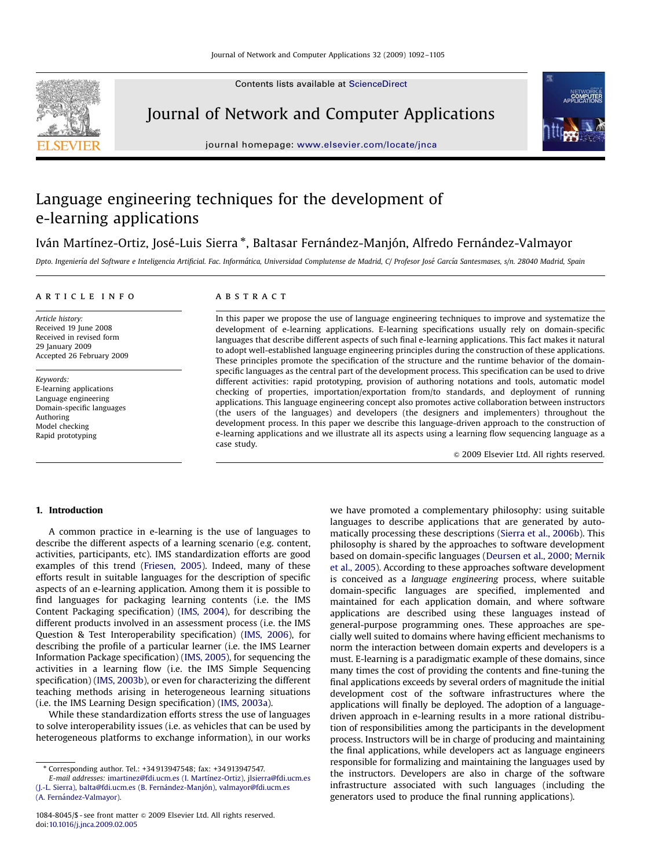Contents lists available at [ScienceDirect](www.sciencedirect.com/science/journal/yjcna)



Journal of Network and Computer Applications

journal homepage: <www.elsevier.com/locate/jnca>



## Language engineering techniques for the development of e-learning applications

### Iván Martínez-Ortiz, José-Luis Sierra \*, Baltasar Fernández-Manjón, Alfredo Fernández-Valmayor

Dpto. Ingeniería del Software e Inteligencia Artificial. Fac. Informática, Universidad Complutense de Madrid, C/ Profesor José García Santesmases, s/n. 28040 Madrid, Spain

#### article info

Article history: Received 19 June 2008 Received in revised form 29 January 2009 Accepted 26 February 2009

Keywords: E-learning applications Language engineering Domain-specific languages Authoring Model checking Rapid prototyping

#### abstract

In this paper we propose the use of language engineering techniques to improve and systematize the development of e-learning applications. E-learning specifications usually rely on domain-specific languages that describe different aspects of such final e-learning applications. This fact makes it natural to adopt well-established language engineering principles during the construction of these applications. These principles promote the specification of the structure and the runtime behavior of the domainspecific languages as the central part of the development process. This specification can be used to drive different activities: rapid prototyping, provision of authoring notations and tools, automatic model checking of properties, importation/exportation from/to standards, and deployment of running applications. This language engineering concept also promotes active collaboration between instructors (the users of the languages) and developers (the designers and implementers) throughout the development process. In this paper we describe this language-driven approach to the construction of e-learning applications and we illustrate all its aspects using a learning flow sequencing language as a case study.

 $\odot$  2009 Elsevier Ltd. All rights reserved.

#### 1. Introduction

A common practice in e-learning is the use of languages to describe the different aspects of a learning scenario (e.g. content, activities, participants, etc). IMS standardization efforts are good examples of this trend ([Friesen, 2005](#page--1-0)). Indeed, many of these efforts result in suitable languages for the description of specific aspects of an e-learning application. Among them it is possible to find languages for packaging learning contents (i.e. the IMS Content Packaging specification) ([IMS, 2004](#page--1-0)), for describing the different products involved in an assessment process (i.e. the IMS Question & Test Interoperability specification) [\(IMS, 2006\)](#page--1-0), for describing the profile of a particular learner (i.e. the IMS Learner Information Package specification) ([IMS, 2005](#page--1-0)), for sequencing the activities in a learning flow (i.e. the IMS Simple Sequencing specification) ([IMS, 2003b](#page--1-0)), or even for characterizing the different teaching methods arising in heterogeneous learning situations (i.e. the IMS Learning Design specification) ([IMS, 2003a\)](#page--1-0).

While these standardization efforts stress the use of languages to solve interoperability issues (i.e. as vehicles that can be used by heterogeneous platforms to exchange information), in our works we have promoted a complementary philosophy: using suitable languages to describe applications that are generated by automatically processing these descriptions ([Sierra et al., 2006b](#page--1-0)). This philosophy is shared by the approaches to software development based on domain-specific languages [\(Deursen et al., 2000](#page--1-0); [Mernik](#page--1-0) [et al., 2005](#page--1-0)). According to these approaches software development is conceived as a language engineering process, where suitable domain-specific languages are specified, implemented and maintained for each application domain, and where software applications are described using these languages instead of general-purpose programming ones. These approaches are specially well suited to domains where having efficient mechanisms to norm the interaction between domain experts and developers is a must. E-learning is a paradigmatic example of these domains, since many times the cost of providing the contents and fine-tuning the final applications exceeds by several orders of magnitude the initial development cost of the software infrastructures where the applications will finally be deployed. The adoption of a languagedriven approach in e-learning results in a more rational distribution of responsibilities among the participants in the development process. Instructors will be in charge of producing and maintaining the final applications, while developers act as language engineers responsible for formalizing and maintaining the languages used by the instructors. Developers are also in charge of the software infrastructure associated with such languages (including the generators used to produce the final running applications).

<sup>-</sup> Corresponding author. Tel.: +34 913947548; fax: +34 913947547.

E-mail addresses: [imartinez@fdi.ucm.es \(I. Martı´nez-Ortiz\),](mailto:imartinez@fdi.ucm.es) [jlsierra@fdi.ucm.es](mailto:jlsierra@fdi.ucm.es) [\(J.-L. Sierra\),](mailto:jlsierra@fdi.ucm.es) balta@fdi.ucm.es (B. Fernández-Manjón), [valmayor@fdi.ucm.es](mailto:valmayor@fdi.ucm.es) (A. Fernández-Valmayor).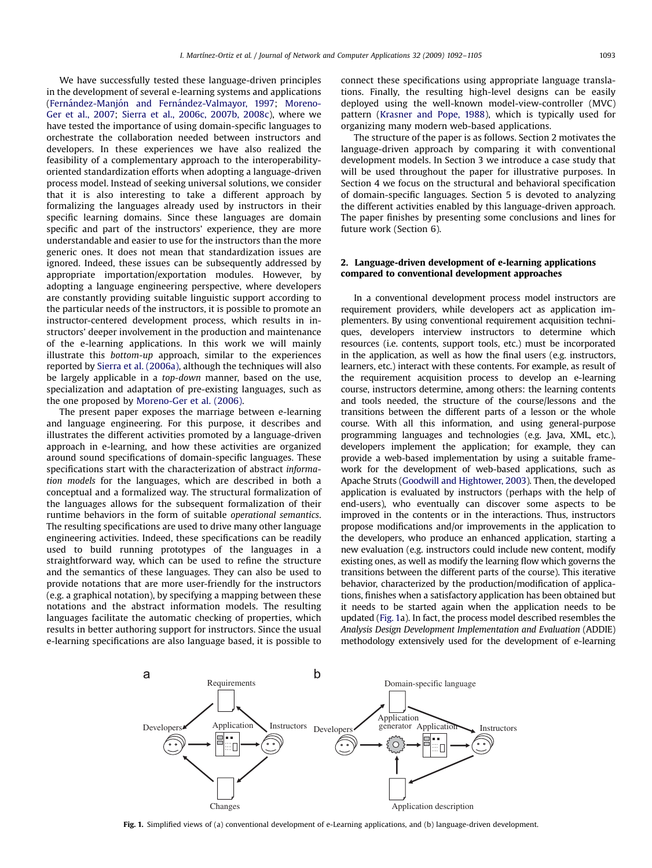We have successfully tested these language-driven principles in the development of several e-learning systems and applications (Fernández-Manjón and Fernández-Valmayor, 1997; [Moreno-](#page--1-0)[Ger et al., 2007;](#page--1-0) [Sierra et al., 2006c, 2007b, 2008c\)](#page--1-0), where we have tested the importance of using domain-specific languages to orchestrate the collaboration needed between instructors and developers. In these experiences we have also realized the feasibility of a complementary approach to the interoperabilityoriented standardization efforts when adopting a language-driven process model. Instead of seeking universal solutions, we consider that it is also interesting to take a different approach by formalizing the languages already used by instructors in their specific learning domains. Since these languages are domain specific and part of the instructors' experience, they are more understandable and easier to use for the instructors than the more generic ones. It does not mean that standardization issues are ignored. Indeed, these issues can be subsequently addressed by appropriate importation/exportation modules. However, by adopting a language engineering perspective, where developers are constantly providing suitable linguistic support according to the particular needs of the instructors, it is possible to promote an instructor-centered development process, which results in instructors' deeper involvement in the production and maintenance of the e-learning applications. In this work we will mainly illustrate this bottom-up approach, similar to the experiences reported by [Sierra et al. \(2006a\)](#page--1-0), although the techniques will also be largely applicable in a top-down manner, based on the use, specialization and adaptation of pre-existing languages, such as the one proposed by [Moreno-Ger et al. \(2006\)](#page--1-0).

The present paper exposes the marriage between e-learning and language engineering. For this purpose, it describes and illustrates the different activities promoted by a language-driven approach in e-learning, and how these activities are organized around sound specifications of domain-specific languages. These specifications start with the characterization of abstract information models for the languages, which are described in both a conceptual and a formalized way. The structural formalization of the languages allows for the subsequent formalization of their runtime behaviors in the form of suitable operational semantics. The resulting specifications are used to drive many other language engineering activities. Indeed, these specifications can be readily used to build running prototypes of the languages in a straightforward way, which can be used to refine the structure and the semantics of these languages. They can also be used to provide notations that are more user-friendly for the instructors (e.g. a graphical notation), by specifying a mapping between these notations and the abstract information models. The resulting languages facilitate the automatic checking of properties, which results in better authoring support for instructors. Since the usual e-learning specifications are also language based, it is possible to

connect these specifications using appropriate language translations. Finally, the resulting high-level designs can be easily deployed using the well-known model-view-controller (MVC) pattern [\(Krasner and Pope, 1988](#page--1-0)), which is typically used for organizing many modern web-based applications.

The structure of the paper is as follows. Section 2 motivates the language-driven approach by comparing it with conventional development models. In Section 3 we introduce a case study that will be used throughout the paper for illustrative purposes. In Section 4 we focus on the structural and behavioral specification of domain-specific languages. Section 5 is devoted to analyzing the different activities enabled by this language-driven approach. The paper finishes by presenting some conclusions and lines for future work (Section 6).

#### 2. Language-driven development of e-learning applications compared to conventional development approaches

In a conventional development process model instructors are requirement providers, while developers act as application implementers. By using conventional requirement acquisition techniques, developers interview instructors to determine which resources (i.e. contents, support tools, etc.) must be incorporated in the application, as well as how the final users (e.g. instructors, learners, etc.) interact with these contents. For example, as result of the requirement acquisition process to develop an e-learning course, instructors determine, among others: the learning contents and tools needed, the structure of the course/lessons and the transitions between the different parts of a lesson or the whole course. With all this information, and using general-purpose programming languages and technologies (e.g. Java, XML, etc.), developers implement the application; for example, they can provide a web-based implementation by using a suitable framework for the development of web-based applications, such as Apache Struts ([Goodwill and Hightower, 2003\)](#page--1-0). Then, the developed application is evaluated by instructors (perhaps with the help of end-users), who eventually can discover some aspects to be improved in the contents or in the interactions. Thus, instructors propose modifications and/or improvements in the application to the developers, who produce an enhanced application, starting a new evaluation (e.g. instructors could include new content, modify existing ones, as well as modify the learning flow which governs the transitions between the different parts of the course). This iterative behavior, characterized by the production/modification of applications, finishes when a satisfactory application has been obtained but it needs to be started again when the application needs to be updated (Fig. 1a). In fact, the process model described resembles the Analysis Design Development Implementation and Evaluation (ADDIE) methodology extensively used for the development of e-learning



Fig. 1. Simplified views of (a) conventional development of e-Learning applications, and (b) language-driven development.